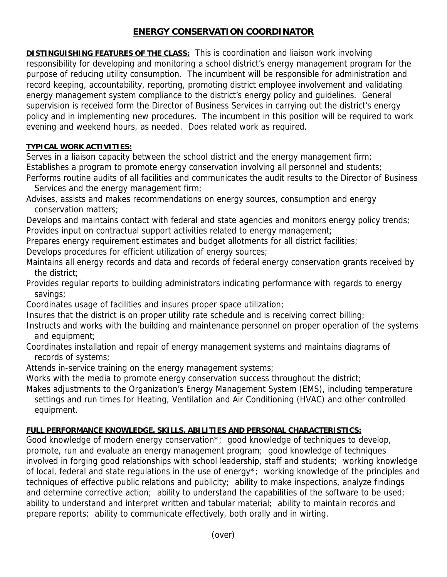## **ENERGY CONSERVATION COORDINATOR**

**DISTINGUISHING FEATURES OF THE CLASS:** This is coordination and liaison work involving responsibility for developing and monitoring a school district's energy management program for the purpose of reducing utility consumption. The incumbent will be responsible for administration and record keeping, accountability, reporting, promoting district employee involvement and validating energy management system compliance to the district's energy policy and guidelines. General supervision is received form the Director of Business Services in carrying out the district's energy policy and in implementing new procedures. The incumbent in this position will be required to work evening and weekend hours, as needed. Does related work as required.

## **TYPICAL WORK ACTIVITIES:**

Serves in a liaison capacity between the school district and the energy management firm; Establishes a program to promote energy conservation involving all personnel and students; Performs routine audits of all facilities and communicates the audit results to the Director of Business

Services and the energy management firm;

Advises, assists and makes recommendations on energy sources, consumption and energy conservation matters;

Develops and maintains contact with federal and state agencies and monitors energy policy trends; Provides input on contractual support activities related to energy management;

Prepares energy requirement estimates and budget allotments for all district facilities;

Develops procedures for efficient utilization of energy sources;

Maintains all energy records and data and records of federal energy conservation grants received by the district;

Provides regular reports to building administrators indicating performance with regards to energy savings;

Coordinates usage of facilities and insures proper space utilization;

Insures that the district is on proper utility rate schedule and is receiving correct billing;

- Instructs and works with the building and maintenance personnel on proper operation of the systems and equipment;
- Coordinates installation and repair of energy management systems and maintains diagrams of records of systems;

Attends in-service training on the energy management systems;

Works with the media to promote energy conservation success throughout the district;

Makes adjustments to the Organization's Energy Management System (EMS), including temperature settings and run times for Heating, Ventilation and Air Conditioning (HVAC) and other controlled equipment.

## **FULL PERFORMANCE KNOWLEDGE, SKILLS, ABILITIES AND PERSONAL CHARACTERISTICS:**

Good knowledge of modern energy conservation\*; good knowledge of techniques to develop, promote, run and evaluate an energy management program; good knowledge of techniques involved in forging good relationships with school leadership, staff and students; working knowledge of local, federal and state regulations in the use of energy\*; working knowledge of the principles and techniques of effective public relations and publicity; ability to make inspections, analyze findings and determine corrective action; ability to understand the capabilities of the software to be used; ability to understand and interpret written and tabular material; ability to maintain records and prepare reports; ability to communicate effectively, both orally and in wirting.